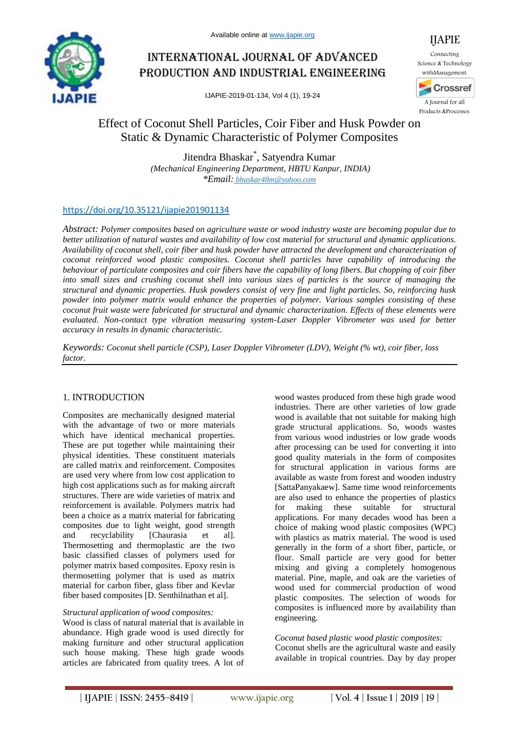

# International journal of advanced production and industrial engineering

IJAPIE-2019-01-134, Vol 4 (1), 19-24

## Effect of Coconut Shell Particles, Coir Fiber and Husk Powder on Static & Dynamic Characteristic of Polymer Composites

Jitendra Bhaskar\* , Satyendra Kumar *(Mechanical Engineering Department, HBTU Kanpur, INDIA) \*Email: bhaskar48m@yahoo.com*

## https://doi.org/10.35121/ijapie201901134

*Abstract: Polymer composites based on agriculture waste or wood industry waste are becoming popular due to better utilization of natural wastes and availability of low cost material for structural and dynamic applications. Availability of coconut shell, coir fiber and husk powder have attracted the development and characterization of coconut reinforced wood plastic composites. Coconut shell particles have capability of introducing the behaviour of particulate composites and coir fibers have the capability of long fibers. But chopping of coir fiber into small sizes and crushing coconut shell into various sizes of particles is the source of managing the structural and dynamic properties. Husk powders consist of very fine and light particles. So, reinforcing husk powder into polymer matrix would enhance the properties of polymer. Various samples consisting of these coconut fruit waste were fabricated for structural and dynamic characterization. Effects of these elements were evaluated. Non-contact type vibration measuring system-Laser Doppler Vibrometer was used for better accuracy in results in dynamic characteristic.*

*Keywords: Coconut shell particle (CSP), Laser Doppler Vibrometer (LDV), Weight (% wt), coir fiber, loss factor.*

## 1. INTRODUCTION

Composites are mechanically designed material with the advantage of two or more materials which have identical mechanical properties. These are put together while maintaining their physical identities. These constituent materials are called matrix and reinforcement. Composites are used very where from low cost application to high cost applications such as for making aircraft structures. There are wide varieties of matrix and reinforcement is available. Polymers matrix had been a choice as a matrix material for fabricating composites due to light weight, good strength and recyclability [Chaurasia et al]. Thermosetting and thermoplastic are the two basic classified classes of polymers used for polymer matrix based composites. Epoxy resin is thermosetting polymer that is used as matrix material for carbon fiber, glass fiber and Kevlar fiber based composites [D. Senthilnathan et al].

#### *Structural application of wood composites:*

Wood is class of natural material that is available in abundance. High grade wood is used directly for making furniture and other structural application such house making. These high grade woods articles are fabricated from quality trees. A lot of

wood wastes produced from these high grade wood industries. There are other varieties of low grade wood is available that not suitable for making high grade structural applications. So, woods wastes from various wood industries or low grade woods after processing can be used for converting it into good quality materials in the form of composites for structural application in various forms are available as waste from forest and wooden industry [SattaPanyakaew]. Same time wood reinforcements are also used to enhance the properties of plastics for making these suitable for structural applications. For many decades wood has been a choice of making wood plastic composites (WPC) with plastics as matrix material. The wood is used generally in the form of a short fiber, particle, or flour. Small particle are very good for better mixing and giving a completely homogenous material. Pine, maple, and oak are the varieties of wood used for commercial production of wood plastic composites. The selection of woods for composites is influenced more by availability than engineering.

#### *Coconut based plastic wood plastic composites:*

Coconut shells are the agricultural waste and easily available in tropical countries. Day by day proper

IJAPIE

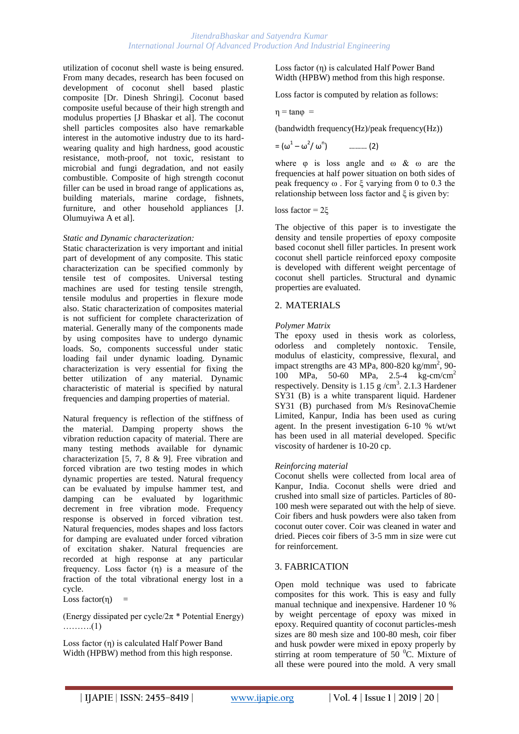#### *JitendraBhaskar and Satyendra Kumar International Journal Of Advanced Production And Industrial Engineering*

utilization of coconut shell waste is being ensured. From many decades, research has been focused on development of coconut shell based plastic composite [Dr. Dinesh Shringi]. Coconut based composite useful because of their high strength and modulus properties [J Bhaskar et al]. The coconut shell particles composites also have remarkable interest in the automotive industry due to its hardwearing quality and high hardness, good acoustic resistance, moth-proof, not toxic, resistant to microbial and fungi degradation, and not easily combustible. Composite of high strength coconut filler can be used in broad range of applications as, building materials, marine cordage, fishnets, furniture, and other household appliances [J. Olumuyiwa A et al].

#### *Static and Dynamic characterization:*

Static characterization is very important and initial part of development of any composite. This static characterization can be specified commonly by tensile test of composites. Universal testing machines are used for testing tensile strength, tensile modulus and properties in flexure mode also. Static characterization of composites material is not sufficient for complete characterization of material. Generally many of the components made by using composites have to undergo dynamic loads. So, components successful under static loading fail under dynamic loading. Dynamic characterization is very essential for fixing the better utilization of any material. Dynamic characteristic of material is specified by natural frequencies and damping properties of material.

Natural frequency is reflection of the stiffness of the material. Damping property shows the vibration reduction capacity of material. There are many testing methods available for dynamic characterization [5, 7, 8 & 9]. Free vibration and forced vibration are two testing modes in which dynamic properties are tested. Natural frequency can be evaluated by impulse hammer test, and damping can be evaluated by logarithmic decrement in free vibration mode. Frequency response is observed in forced vibration test. Natural frequencies, modes shapes and loss factors for damping are evaluated under forced vibration of excitation shaker. Natural frequencies are recorded at high response at any particular frequency. Loss factor (η) is a measure of the fraction of the total vibrational energy lost in a cycle.

Loss factor $(\eta)$  =

(Energy dissipated per cycle/ $2\pi$  \* Potential Energy) ……….(1)

Loss factor (η) is calculated Half Power Band Width (HPBW) method from this high response. Loss factor (η) is calculated Half Power Band Width (HPBW) method from this high response.

Loss factor is computed by relation as follows:

$$
\eta = \tan \varphi =
$$

(bandwidth frequency(Hz)/peak frequency(Hz))

$$
= (\omega^1 - \omega^2 / \omega^n) \quad \dots \dots \dots \ (2)
$$

where  $\varphi$  is loss angle and  $\omega \& \omega$  are the frequencies at half power situation on both sides of peak frequency ω . For ξ varying from 0 to 0.3 the relationship between loss factor and ξ is given by:

loss factor = 2ξ

The objective of this paper is to investigate the density and tensile properties of epoxy composite based coconut shell filler particles. In present work coconut shell particle reinforced epoxy composite is developed with different weight percentage of coconut shell particles. Structural and dynamic properties are evaluated.

#### 2. MATERIALS

#### *Polymer Matrix*

The epoxy used in thesis work as colorless, odorless and completely nontoxic. Tensile, modulus of elasticity, compressive, flexural, and impact strengths are  $43 \text{ MPa}$ ,  $800 - 820 \text{ kg/mm}^2$ ,  $90 -$ 100 MPa, 50-60 MPa, 2.5-4 kg-cm/cm<sup>2</sup> respectively. Density is  $1.15 \text{ g/cm}^3$ . 2.1.3 Hardener SY31 (B) is a white transparent liquid. Hardener SY31 (B) purchased from M/s ResinovaChemie Limited, Kanpur, India has been used as curing agent. In the present investigation 6-10 % wt/wt has been used in all material developed. Specific viscosity of hardener is 10-20 cp.

#### *Reinforcing material*

Coconut shells were collected from local area of Kanpur, India. Coconut shells were dried and crushed into small size of particles. Particles of 80- 100 mesh were separated out with the help of sieve. Coir fibers and husk powders were also taken from coconut outer cover. Coir was cleaned in water and dried. Pieces coir fibers of 3-5 mm in size were cut for reinforcement.

#### 3. FABRICATION

Open mold technique was used to fabricate composites for this work. This is easy and fully manual technique and inexpensive. Hardener 10 % by weight percentage of epoxy was mixed in epoxy. Required quantity of coconut particles-mesh sizes are 80 mesh size and 100-80 mesh, coir fiber and husk powder were mixed in epoxy properly by stirring at room temperature of  $50\,^0C$ . Mixture of all these were poured into the mold. A very small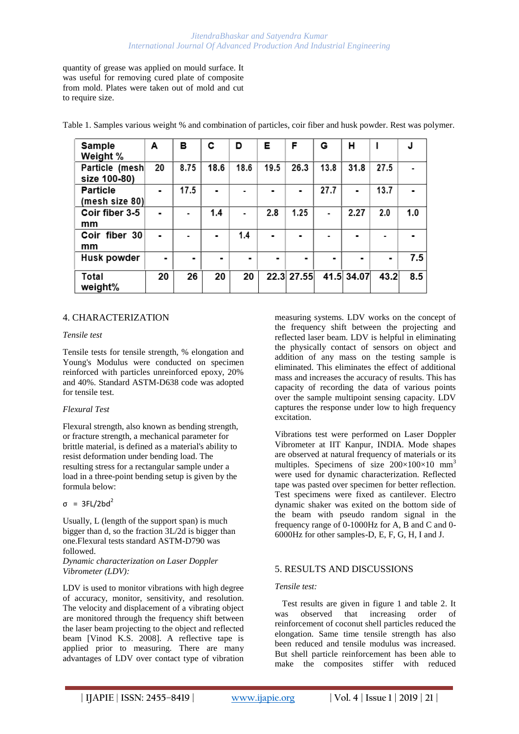quantity of grease was applied on mould surface. It was useful for removing cured plate of composite from mold. Plates were taken out of mold and cut to require size.

| Sample<br>Weight %                | A              | в    | c    | D    | Е    | F          | G    | н          |      |     |
|-----------------------------------|----------------|------|------|------|------|------------|------|------------|------|-----|
| Particle (mesh<br>size 100-80)    | 20             | 8.75 | 18.6 | 18.6 | 19.5 | 26.3       | 13.8 | 31.8       | 27.5 |     |
| <b>Particle</b><br>(mesh size 80) | $\blacksquare$ | 17.5 |      |      |      |            | 27.7 |            | 13.7 |     |
| Coir fiber 3-5<br>mm              | $\blacksquare$ | ۰    | 1.4  |      | 2.8  | 1.25       |      | 2.27       | 2.0  | 1.0 |
| Coir fiber 30<br>mm               |                |      | ۰    | 1.4  |      |            |      |            |      |     |
| Husk powder                       |                |      |      | ۰    |      | ٠          |      |            |      | 7.5 |
| Total<br>weight%                  | 20             | 26   | 20   | 20   |      | 22.3 27.55 |      | 41.5 34.07 | 43.2 | 8.5 |

Table 1. Samples various weight % and combination of particles, coir fiber and husk powder. Rest was polymer.

#### 4. CHARACTERIZATION

#### *Tensile test*

Tensile tests for tensile strength, % elongation and Young's Modulus were conducted on specimen reinforced with particles unreinforced epoxy, 20% and 40%. Standard ASTM-D638 code was adopted for tensile test.

#### *Flexural Test*

Flexural strength, also known as bending strength, or fracture strength, a mechanical parameter for brittle material, is defined as a material's ability to resist deformation under bending load. The resulting stress for a rectangular sample under a load in a three-point bending setup is given by the formula below:

#### $\sigma = 3FL/2bd^2$

Usually, L (length of the support span) is much bigger than d, so the fraction 3L/2d is bigger than one.Flexural tests standard ASTM-D790 was followed.

#### *Dynamic characterization on Laser Doppler Vibrometer (LDV):*

LDV is used to monitor vibrations with high degree of accuracy, monitor, sensitivity, and resolution. The velocity and displacement of a vibrating object are monitored through the frequency shift between the laser beam projecting to the object and reflected beam [Vinod K.S. 2008]. A reflective tape is applied prior to measuring. There are many advantages of LDV over contact type of vibration

measuring systems. LDV works on the concept of the frequency shift between the projecting and reflected laser beam. LDV is helpful in eliminating the physically contact of sensors on object and addition of any mass on the testing sample is eliminated. This eliminates the effect of additional mass and increases the accuracy of results. This has capacity of recording the data of various points over the sample multipoint sensing capacity. LDV captures the response under low to high frequency excitation.

Vibrations test were performed on Laser Doppler Vibrometer at IIT Kanpur, INDIA. Mode shapes are observed at natural frequency of materials or its multiples. Specimens of size  $200\times100\times10$  mm<sup>3</sup> were used for dynamic characterization. Reflected tape was pasted over specimen for better reflection. Test specimens were fixed as cantilever. Electro dynamic shaker was exited on the bottom side of the beam with pseudo random signal in the frequency range of 0-1000Hz for A, B and C and 0- 6000Hz for other samples-D, E, F, G, H, I and J.

#### 5. RESULTS AND DISCUSSIONS

#### *Tensile test:*

Test results are given in figure 1 and table 2. It was observed that increasing order of reinforcement of coconut shell particles reduced the elongation. Same time tensile strength has also been reduced and tensile modulus was increased. But shell particle reinforcement has been able to make the composites stiffer with reduced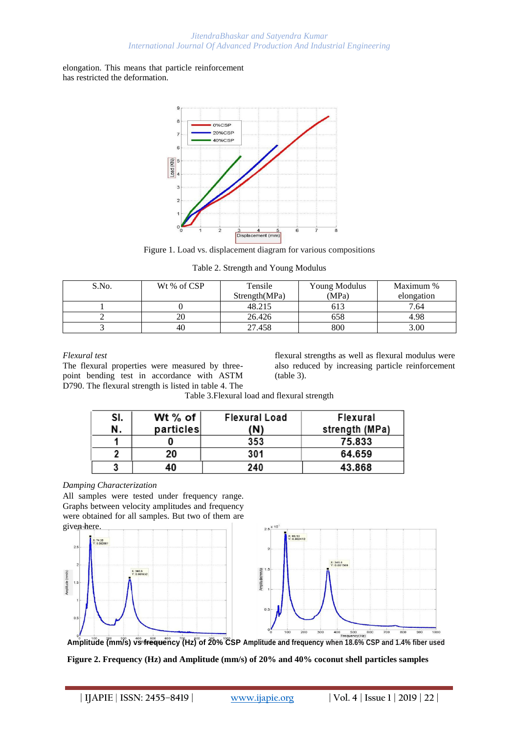#### *JitendraBhaskar and Satyendra Kumar International Journal Of Advanced Production And Industrial Engineering*

elongation. This means that particle reinforcement has restricted the deformation.



Figure 1. Load vs. displacement diagram for various compositions

|  |  | Table 2. Strength and Young Modulus |
|--|--|-------------------------------------|
|  |  |                                     |

| S.No. | Wt % of CSP | Tensile       | Young Modulus | Maximum %  |  |
|-------|-------------|---------------|---------------|------------|--|
|       |             | Strength(MPa) | (MPa)         | elongation |  |
|       |             | 48.215        | 613           | 7.64       |  |
|       | 20          | 26.426        | 658           | 4.98       |  |
|       | 40          | 27.458        | 800           | 3.00       |  |

#### *Flexural test*

The flexural properties were measured by threepoint bending test in accordance with ASTM D790. The flexural strength is listed in table 4. The flexural strengths as well as flexural modulus were also reduced by increasing particle reinforcement (table 3).

Table 3.Flexural load and flexural strength

| SI. | Wt % of   | <b>Flexural Load</b> | Flexural       |
|-----|-----------|----------------------|----------------|
| N.  | particles | (N)                  | strength (MPa) |
|     |           | 353                  | 75,833         |
|     | 20.       | 301                  | 64.659         |
|     |           | 240                  | 43.868         |

#### *Damping Characterization*

All samples were tested under frequency range. Graphs between velocity amplitudes and frequency were obtained for all samples. But two of them are given here.





Amplitude (mm/s) vs frequency (Hz) of 20% CSP Amplitude and frequency when 18.6% CSP and 1.4% fiber used **Figure 2. Frequency (Hz) and Amplitude (mm/s) of 20% and 40% coconut shell particles samples**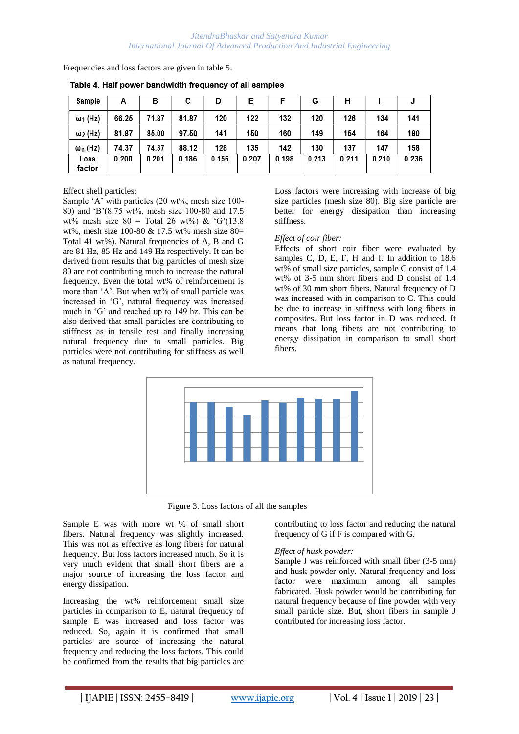Frequencies and loss factors are given in table 5.

| Sample          | А     | в     | с     | D     | Е     |       | G     | н     |       | J     |
|-----------------|-------|-------|-------|-------|-------|-------|-------|-------|-------|-------|
| $\omega_1$ (Hz) | 66.25 | 71.87 | 81.87 | 120   | 122   | 132   | 120   | 126   | 134   | 141   |
| $\omega_2$ (Hz) | 81.87 | 85.00 | 97.50 | 141   | 150   | 160   | 149   | 154   | 164   | 180   |
| $\omega_n$ (Hz) | 74.37 | 74.37 | 88.12 | 128   | 135   | 142   | 130   | 137   | 147   | 158   |
| Loss<br>factor  | 0.200 | 0.201 | 0.186 | 0.156 | 0.207 | 0.198 | 0.213 | 0.211 | 0.210 | 0.236 |

Table 4. Half power bandwidth frequency of all samples

Effect shell particles:

Sample 'A' with particles (20 wt%, mesh size 100-80) and "B"(8.75 wt%, mesh size 100-80 and 17.5 wt% mesh size  $80 = \text{Total } 26$  wt%) & 'G'(13.8) wt%, mesh size 100-80 & 17.5 wt% mesh size 80= Total 41 wt%). Natural frequencies of A, B and G are 81 Hz, 85 Hz and 149 Hz respectively. It can be derived from results that big particles of mesh size 80 are not contributing much to increase the natural frequency. Even the total wt% of reinforcement is more than 'A'. But when wt% of small particle was increased in "G", natural frequency was increased much in "G" and reached up to 149 hz. This can be also derived that small particles are contributing to stiffness as in tensile test and finally increasing natural frequency due to small particles. Big particles were not contributing for stiffness as well as natural frequency.

Loss factors were increasing with increase of big size particles (mesh size 80). Big size particle are better for energy dissipation than increasing stiffness.

#### *Effect of coir fiber:*

Effects of short coir fiber were evaluated by samples C, D, E, F, H and I. In addition to 18.6 wt% of small size particles, sample C consist of 1.4 wt% of 3-5 mm short fibers and D consist of 1.4 wt% of 30 mm short fibers. Natural frequency of D was increased with in comparison to C. This could be due to increase in stiffness with long fibers in composites. But loss factor in D was reduced. It means that long fibers are not contributing to energy dissipation in comparison to small short fibers.



Figure 3. Loss factors of all the samples

Sample E was with more wt % of small short fibers. Natural frequency was slightly increased. This was not as effective as long fibers for natural frequency. But loss factors increased much. So it is very much evident that small short fibers are a major source of increasing the loss factor and energy dissipation.

Increasing the wt% reinforcement small size particles in comparison to E, natural frequency of sample E was increased and loss factor was reduced. So, again it is confirmed that small particles are source of increasing the natural frequency and reducing the loss factors. This could be confirmed from the results that big particles are

contributing to loss factor and reducing the natural frequency of G if F is compared with G.

#### *Effect of husk powder:*

Sample J was reinforced with small fiber (3-5 mm) and husk powder only. Natural frequency and loss factor were maximum among all samples fabricated. Husk powder would be contributing for natural frequency because of fine powder with very small particle size. But, short fibers in sample J contributed for increasing loss factor.